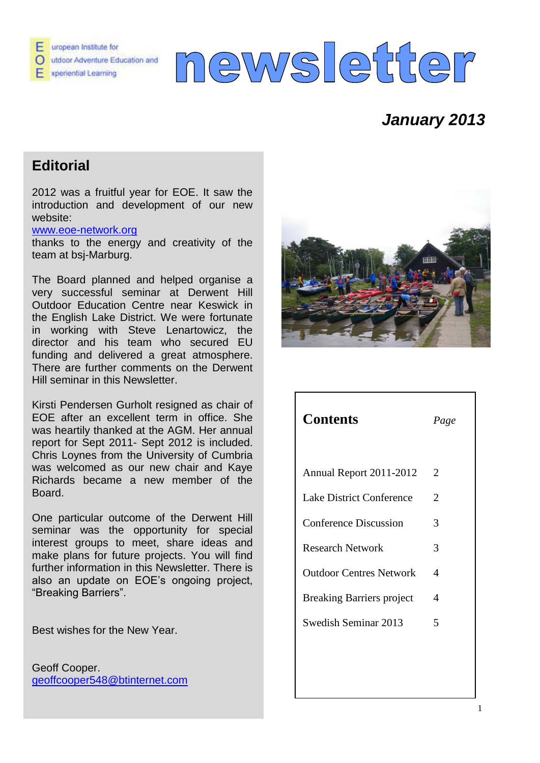

# news etter

# *January 2013*

# **Editorial**

2012 was a fruitful year for EOE. It saw the introduction and development of our new website:

#### [www.eoe-network.org](http://www.eoe-network.org/)

thanks to the energy and creativity of the team at bsj-Marburg.

The Board planned and helped organise a very successful seminar at Derwent Hill Outdoor Education Centre near Keswick in the English Lake District. We were fortunate in working with Steve Lenartowicz, the director and his team who secured EU funding and delivered a great atmosphere. There are further comments on the Derwent Hill seminar in this Newsletter.

Kirsti Pendersen Gurholt resigned as chair of EOE after an excellent term in office. She was heartily thanked at the AGM. Her annual report for Sept 2011- Sept 2012 is included. Chris Loynes from the University of Cumbria was welcomed as our new chair and Kaye Richards became a new member of the Board.

One particular outcome of the Derwent Hill seminar was the opportunity for special interest groups to meet, share ideas and make plans for future projects. You will find further information in this Newsletter. There is also an update on EOE's ongoing project, "Breaking Barriers".

Best wishes for the New Year.

Geoff Cooper. [geoffcooper548@btinternet.com](mailto:geoffcooper548@btinternet.com)



| <b>Contents</b>                  | Page                        |
|----------------------------------|-----------------------------|
|                                  |                             |
| Annual Report 2011-2012          | 2                           |
| <b>Lake District Conference</b>  | $\mathcal{D}_{\mathcal{L}}$ |
| <b>Conference Discussion</b>     | 3                           |
| <b>Research Network</b>          | 3                           |
| <b>Outdoor Centres Network</b>   | $\boldsymbol{\varDelta}$    |
| <b>Breaking Barriers project</b> | 4                           |
| Swedish Seminar 2013             | 5                           |
|                                  |                             |
|                                  |                             |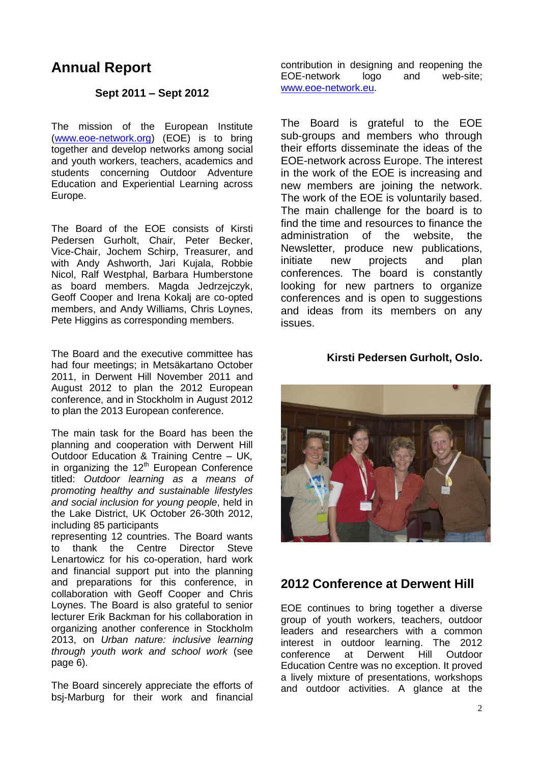## **Annual Report**

#### **Sept 2011 – Sept 2012**

The mission of the European Institute [\(www.eoe-network.org\)](http://www.eoe-network.org/) (EOE) is to bring together and develop networks among social and youth workers, teachers, academics and students concerning Outdoor Adventure Education and Experiential Learning across Europe.

The Board of the EOE consists of Kirsti Pedersen Gurholt, Chair, Peter Becker, Vice-Chair, Jochem Schirp, Treasurer, and with Andy Ashworth, Jari Kujala, Robbie Nicol, Ralf Westphal, Barbara Humberstone as board members. Magda Jedrzejczyk, Geoff Cooper and Irena Kokalj are co-opted members, and Andy Williams, Chris Loynes, Pete Higgins as corresponding members.

The Board and the executive committee has had four meetings; in Metsäkartano October 2011, in Derwent Hill November 2011 and August 2012 to plan the 2012 European conference, and in Stockholm in August 2012 to plan the 2013 European conference.

The main task for the Board has been the planning and cooperation with Derwent Hill Outdoor Education & Training Centre *–* UK*,* in organizing the 12<sup>th</sup> European Conference titled: *Outdoor learning as a means of promoting healthy and sustainable lifestyles and social inclusion for young people*, held in the Lake District, UK October 26-30th 2012, including 85 participants

representing 12 countries. The Board wants to thank the Centre Director Steve Lenartowicz for his co-operation, hard work and financial support put into the planning and preparations for this conference, in collaboration with Geoff Cooper and Chris Loynes. The Board is also grateful to senior lecturer Erik Backman for his collaboration in organizing another conference in Stockholm 2013, on *Urban nature: inclusive learning through youth work and school work* (see page 6).

The Board sincerely appreciate the efforts of bsj-Marburg for their work and financial contribution in designing and reopening the EOE-network logo and web-site; [www.eoe-network.eu.](http://www.eoe-network.eu/)

The Board is grateful to the EOE sub-groups and members who through their efforts disseminate the ideas of the EOE-network across Europe. The interest in the work of the EOE is increasing and new members are joining the network. The work of the EOE is voluntarily based. The main challenge for the board is to find the time and resources to finance the administration of the website, the Newsletter, produce new publications, initiate new projects and plan conferences. The board is constantly looking for new partners to organize conferences and is open to suggestions and ideas from its members on any issues.

#### **Kirsti Pedersen Gurholt, Oslo.**



#### **2012 Conference at Derwent Hill**

EOE continues to bring together a diverse group of youth workers, teachers, outdoor leaders and researchers with a common interest in outdoor learning. The 2012 conference at Derwent Hill Outdoor Education Centre was no exception. It proved a lively mixture of presentations, workshops and outdoor activities. A glance at the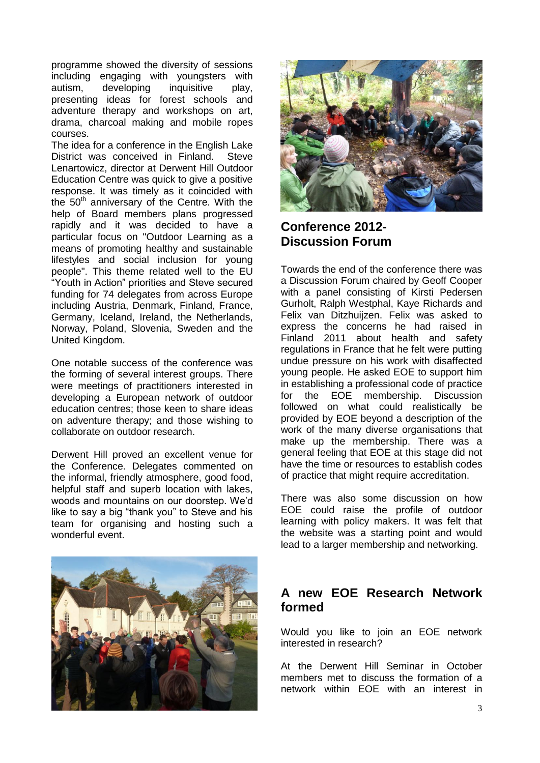programme showed the diversity of sessions including engaging with youngsters with autism, developing inquisitive play, presenting ideas for forest schools and adventure therapy and workshops on art, drama, charcoal making and mobile ropes courses.

The idea for a conference in the English Lake District was conceived in Finland. Steve Lenartowicz, director at Derwent Hill Outdoor Education Centre was quick to give a positive response. It was timely as it coincided with the  $50<sup>th</sup>$  anniversary of the Centre. With the help of Board members plans progressed rapidly and it was decided to have a particular focus on "Outdoor Learning as a means of promoting healthy and sustainable lifestyles and social inclusion for young people". This theme related well to the EU "Youth in Action" priorities and Steve secured funding for 74 delegates from across Europe including Austria, Denmark, Finland, France, Germany, Iceland, Ireland, the Netherlands, Norway, Poland, Slovenia, Sweden and the United Kingdom.

One notable success of the conference was the forming of several interest groups. There were meetings of practitioners interested in developing a European network of outdoor education centres; those keen to share ideas on adventure therapy; and those wishing to collaborate on outdoor research.

Derwent Hill proved an excellent venue for the Conference. Delegates commented on the informal, friendly atmosphere, good food, helpful staff and superb location with lakes, woods and mountains on our doorstep. We'd like to say a big "thank you" to Steve and his team for organising and hosting such a wonderful event.





## **Conference 2012- Discussion Forum**

Towards the end of the conference there was a Discussion Forum chaired by Geoff Cooper with a panel consisting of Kirsti Pedersen Gurholt, Ralph Westphal, Kaye Richards and Felix van Ditzhuijzen. Felix was asked to express the concerns he had raised in Finland 2011 about health and safety regulations in France that he felt were putting undue pressure on his work with disaffected young people. He asked EOE to support him in establishing a professional code of practice for the EOE membership. Discussion followed on what could realistically be provided by EOE beyond a description of the work of the many diverse organisations that make up the membership. There was a general feeling that EOE at this stage did not have the time or resources to establish codes of practice that might require accreditation.

There was also some discussion on how EOE could raise the profile of outdoor learning with policy makers. It was felt that the website was a starting point and would lead to a larger membership and networking.

### **A new EOE Research Network formed**

Would you like to join an EOE network interested in research?

At the Derwent Hill Seminar in October members met to discuss the formation of a network within EOE with an interest in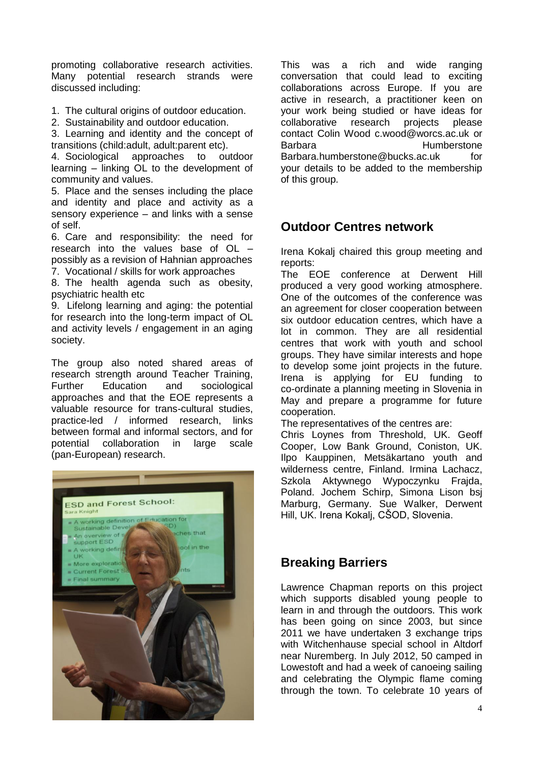promoting collaborative research activities. Many potential research strands were discussed including:

1. The cultural origins of outdoor education.

2. Sustainability and outdoor education.

3. Learning and identity and the concept of transitions (child:adult, adult:parent etc).

4. Sociological approaches to outdoor learning – linking OL to the development of community and values.

5. Place and the senses including the place and identity and place and activity as a sensory experience – and links with a sense of self.

6. Care and responsibility: the need for research into the values base of OL – possibly as a revision of Hahnian approaches

7. Vocational / skills for work approaches

8. The health agenda such as obesity, psychiatric health etc

9. Lifelong learning and aging: the potential for research into the long-term impact of OL and activity levels / engagement in an aging society.

The group also noted shared areas of research strength around Teacher Training, Further Education and sociological approaches and that the EOE represents a valuable resource for trans-cultural studies, practice-led / informed research, links between formal and informal sectors, and for potential collaboration in large scale (pan-European) research.



This was a rich and wide ranging conversation that could lead to exciting collaborations across Europe. If you are active in research, a practitioner keen on your work being studied or have ideas for collaborative research projects please contact Colin Wood c.wood@worcs.ac.uk or Barbara **Humberstone** Barbara.humberstone@bucks.ac.uk for your details to be added to the membership of this group.

### **Outdoor Centres network**

Irena Kokalj chaired this group meeting and reports:

The EOE conference at Derwent Hill produced a very good working atmosphere. One of the outcomes of the conference was an agreement for closer cooperation between six outdoor education centres, which have a lot in common. They are all residential centres that work with youth and school groups. They have similar interests and hope to develop some joint projects in the future. Irena is applying for EU funding to co-ordinate a planning meeting in Slovenia in May and prepare a programme for future cooperation.

The representatives of the centres are:

Chris Loynes from Threshold, UK. Geoff Cooper, Low Bank Ground, Coniston, UK. Ilpo Kauppinen, Metsäkartano youth and wilderness centre, Finland. Irmina Lachacz, Szkola Aktywnego Wypoczynku Frajda, Poland. Jochem Schirp, Simona Lison bsj Marburg, Germany. Sue Walker, Derwent Hill, UK. Irena Kokalj, CŠOD, Slovenia.

## **Breaking Barriers**

Lawrence Chapman reports on this project which supports disabled young people to learn in and through the outdoors. This work has been going on since 2003, but since 2011 we have undertaken 3 exchange trips with Witchenhause special school in Altdorf near Nuremberg. In July 2012, 50 camped in Lowestoft and had a week of canoeing sailing and celebrating the Olympic flame coming through the town. To celebrate 10 years of